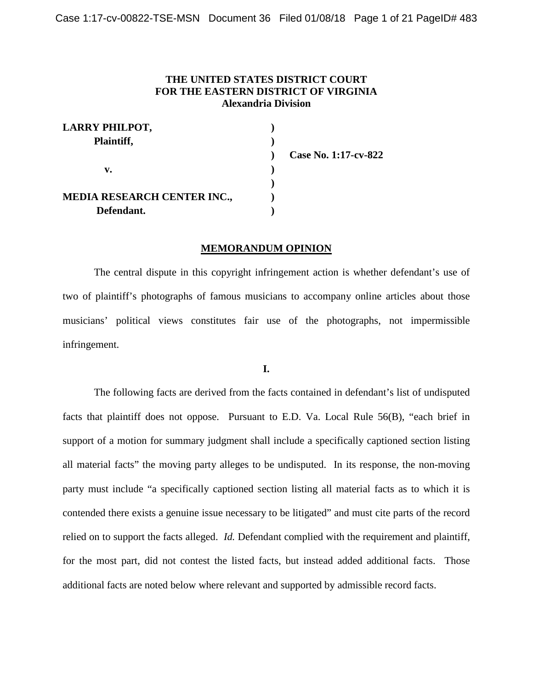## **THE UNITED STATES DISTRICT COURT FOR THE EASTERN DISTRICT OF VIRGINIA Alexandria Division**

| <b>LARRY PHILPOT,</b>              |                      |
|------------------------------------|----------------------|
| Plaintiff,                         |                      |
|                                    | Case No. 1:17-cv-822 |
| v.                                 |                      |
|                                    |                      |
| <b>MEDIA RESEARCH CENTER INC.,</b> |                      |
| Defendant.                         |                      |

#### **MEMORANDUM OPINION**

The central dispute in this copyright infringement action is whether defendant's use of two of plaintiff's photographs of famous musicians to accompany online articles about those musicians' political views constitutes fair use of the photographs, not impermissible infringement.

## **I.**

The following facts are derived from the facts contained in defendant's list of undisputed facts that plaintiff does not oppose. Pursuant to E.D. Va. Local Rule 56(B), "each brief in support of a motion for summary judgment shall include a specifically captioned section listing all material facts" the moving party alleges to be undisputed. In its response, the non-moving party must include "a specifically captioned section listing all material facts as to which it is contended there exists a genuine issue necessary to be litigated" and must cite parts of the record relied on to support the facts alleged. *Id.* Defendant complied with the requirement and plaintiff, for the most part, did not contest the listed facts, but instead added additional facts. Those additional facts are noted below where relevant and supported by admissible record facts.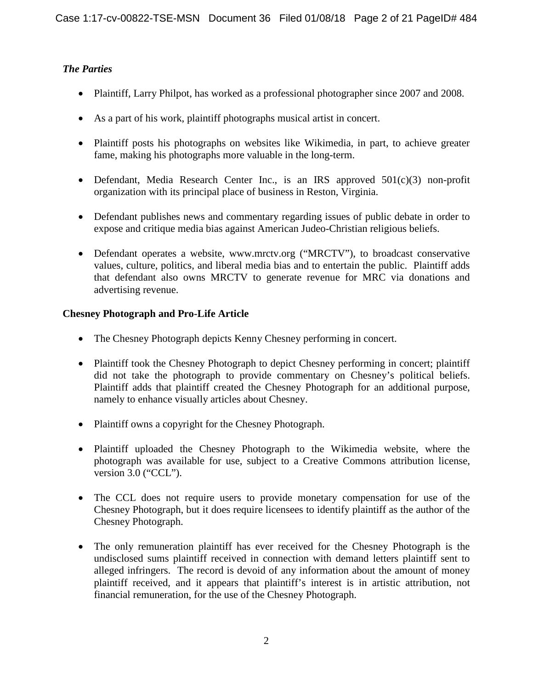# *The Parties*

- Plaintiff, Larry Philpot, has worked as a professional photographer since 2007 and 2008.
- As a part of his work, plaintiff photographs musical artist in concert.
- Plaintiff posts his photographs on websites like Wikimedia, in part, to achieve greater fame, making his photographs more valuable in the long-term.
- Defendant, Media Research Center Inc., is an IRS approved  $501(c)(3)$  non-profit organization with its principal place of business in Reston, Virginia.
- Defendant publishes news and commentary regarding issues of public debate in order to expose and critique media bias against American Judeo-Christian religious beliefs.
- Defendant operates a website, www.mrctv.org ("MRCTV"), to broadcast conservative values, culture, politics, and liberal media bias and to entertain the public. Plaintiff adds that defendant also owns MRCTV to generate revenue for MRC via donations and advertising revenue.

## **Chesney Photograph and Pro-Life Article**

- The Chesney Photograph depicts Kenny Chesney performing in concert.
- Plaintiff took the Chesney Photograph to depict Chesney performing in concert; plaintiff did not take the photograph to provide commentary on Chesney's political beliefs. Plaintiff adds that plaintiff created the Chesney Photograph for an additional purpose, namely to enhance visually articles about Chesney.
- Plaintiff owns a copyright for the Chesney Photograph.
- Plaintiff uploaded the Chesney Photograph to the Wikimedia website, where the photograph was available for use, subject to a Creative Commons attribution license, version 3.0 ("CCL").
- The CCL does not require users to provide monetary compensation for use of the Chesney Photograph, but it does require licensees to identify plaintiff as the author of the Chesney Photograph.
- The only remuneration plaintiff has ever received for the Chesney Photograph is the undisclosed sums plaintiff received in connection with demand letters plaintiff sent to alleged infringers. The record is devoid of any information about the amount of money plaintiff received, and it appears that plaintiff's interest is in artistic attribution, not financial remuneration, for the use of the Chesney Photograph.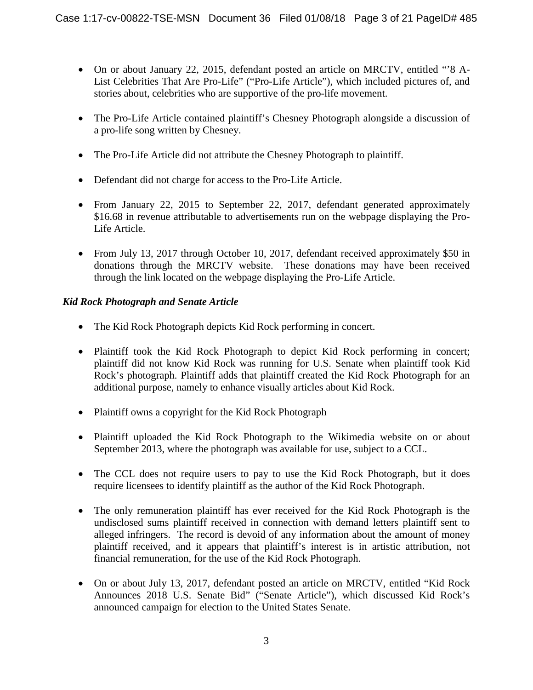- On or about January 22, 2015, defendant posted an article on MRCTV, entitled "8 A-List Celebrities That Are Pro-Life" ("Pro-Life Article"), which included pictures of, and stories about, celebrities who are supportive of the pro-life movement.
- The Pro-Life Article contained plaintiff's Chesney Photograph alongside a discussion of a pro-life song written by Chesney.
- The Pro-Life Article did not attribute the Chesney Photograph to plaintiff.
- Defendant did not charge for access to the Pro-Life Article.
- From January 22, 2015 to September 22, 2017, defendant generated approximately \$16.68 in revenue attributable to advertisements run on the webpage displaying the Pro-Life Article.
- From July 13, 2017 through October 10, 2017, defendant received approximately \$50 in donations through the MRCTV website. These donations may have been received through the link located on the webpage displaying the Pro-Life Article.

## *Kid Rock Photograph and Senate Article*

- The Kid Rock Photograph depicts Kid Rock performing in concert.
- Plaintiff took the Kid Rock Photograph to depict Kid Rock performing in concert; plaintiff did not know Kid Rock was running for U.S. Senate when plaintiff took Kid Rock's photograph. Plaintiff adds that plaintiff created the Kid Rock Photograph for an additional purpose, namely to enhance visually articles about Kid Rock.
- Plaintiff owns a copyright for the Kid Rock Photograph
- Plaintiff uploaded the Kid Rock Photograph to the Wikimedia website on or about September 2013, where the photograph was available for use, subject to a CCL.
- The CCL does not require users to pay to use the Kid Rock Photograph, but it does require licensees to identify plaintiff as the author of the Kid Rock Photograph.
- The only remuneration plaintiff has ever received for the Kid Rock Photograph is the undisclosed sums plaintiff received in connection with demand letters plaintiff sent to alleged infringers. The record is devoid of any information about the amount of money plaintiff received, and it appears that plaintiff's interest is in artistic attribution, not financial remuneration, for the use of the Kid Rock Photograph.
- On or about July 13, 2017, defendant posted an article on MRCTV, entitled "Kid Rock" Announces 2018 U.S. Senate Bid" ("Senate Article"), which discussed Kid Rock's announced campaign for election to the United States Senate.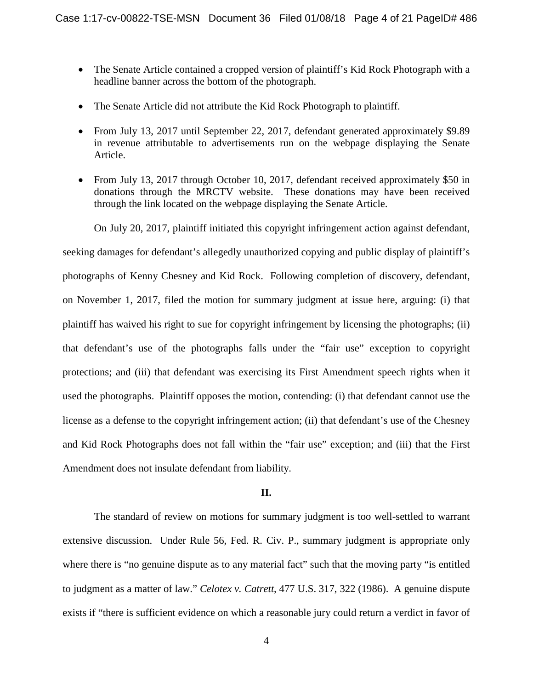- The Senate Article contained a cropped version of plaintiff's Kid Rock Photograph with a headline banner across the bottom of the photograph.
- The Senate Article did not attribute the Kid Rock Photograph to plaintiff.
- From July 13, 2017 until September 22, 2017, defendant generated approximately \$9.89 in revenue attributable to advertisements run on the webpage displaying the Senate Article.
- From July 13, 2017 through October 10, 2017, defendant received approximately \$50 in donations through the MRCTV website. These donations may have been received through the link located on the webpage displaying the Senate Article.

On July 20, 2017, plaintiff initiated this copyright infringement action against defendant,

seeking damages for defendant's allegedly unauthorized copying and public display of plaintiff's photographs of Kenny Chesney and Kid Rock. Following completion of discovery, defendant, on November 1, 2017, filed the motion for summary judgment at issue here, arguing: (i) that plaintiff has waived his right to sue for copyright infringement by licensing the photographs; (ii) that defendant's use of the photographs falls under the "fair use" exception to copyright protections; and (iii) that defendant was exercising its First Amendment speech rights when it used the photographs. Plaintiff opposes the motion, contending: (i) that defendant cannot use the license as a defense to the copyright infringement action; (ii) that defendant's use of the Chesney and Kid Rock Photographs does not fall within the "fair use" exception; and (iii) that the First Amendment does not insulate defendant from liability.

## **II.**

The standard of review on motions for summary judgment is too well-settled to warrant extensive discussion. Under Rule 56, Fed. R. Civ. P., summary judgment is appropriate only where there is "no genuine dispute as to any material fact" such that the moving party "is entitled to judgment as a matter of law." *Celotex v. Catrett*, 477 U.S. 317, 322 (1986). A genuine dispute exists if "there is sufficient evidence on which a reasonable jury could return a verdict in favor of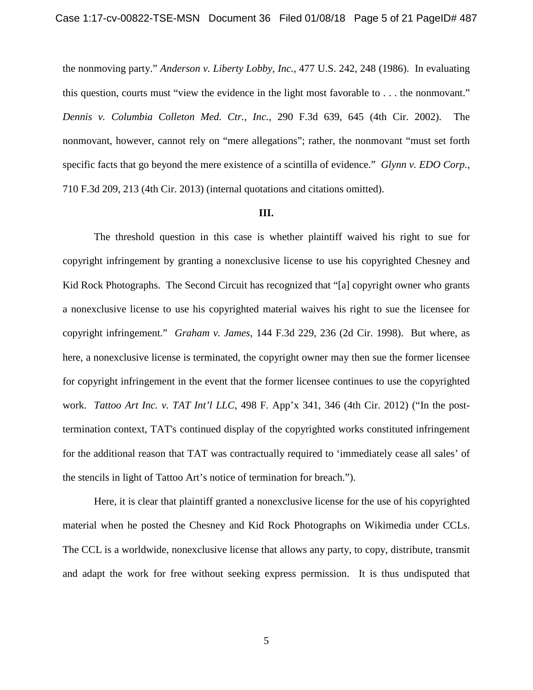the nonmoving party." *Anderson v. Liberty Lobby, Inc.*, 477 U.S. 242, 248 (1986). In evaluating this question, courts must "view the evidence in the light most favorable to . . . the nonmovant." *Dennis v. Columbia Colleton Med. Ctr., Inc.*, 290 F.3d 639, 645 (4th Cir. 2002). The nonmovant, however, cannot rely on "mere allegations"; rather, the nonmovant "must set forth specific facts that go beyond the mere existence of a scintilla of evidence." *Glynn v. EDO Corp.*, 710 F.3d 209, 213 (4th Cir. 2013) (internal quotations and citations omitted).

#### **III.**

The threshold question in this case is whether plaintiff waived his right to sue for copyright infringement by granting a nonexclusive license to use his copyrighted Chesney and Kid Rock Photographs. The Second Circuit has recognized that "[a] copyright owner who grants a nonexclusive license to use his copyrighted material waives his right to sue the licensee for copyright infringement." *Graham v. James*, 144 F.3d 229, 236 (2d Cir. 1998). But where, as here, a nonexclusive license is terminated, the copyright owner may then sue the former licensee for copyright infringement in the event that the former licensee continues to use the copyrighted work. *Tattoo Art Inc. v. TAT Int'l LLC*, 498 F. App'x 341, 346 (4th Cir. 2012) ("In the posttermination context, TAT's continued display of the copyrighted works constituted infringement for the additional reason that TAT was contractually required to 'immediately cease all sales' of the stencils in light of Tattoo Art's notice of termination for breach.").

Here, it is clear that plaintiff granted a nonexclusive license for the use of his copyrighted material when he posted the Chesney and Kid Rock Photographs on Wikimedia under CCLs. The CCL is a worldwide, nonexclusive license that allows any party, to copy, distribute, transmit and adapt the work for free without seeking express permission. It is thus undisputed that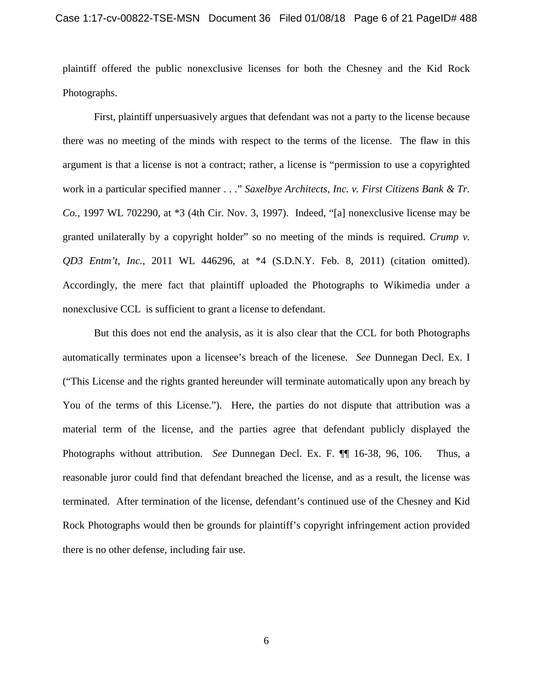plaintiff offered the public nonexclusive licenses for both the Chesney and the Kid Rock Photographs.

First, plaintiff unpersuasively argues that defendant was not a party to the license because there was no meeting of the minds with respect to the terms of the license. The flaw in this argument is that a license is not a contract; rather, a license is "permission to use a copyrighted work in a particular specified manner . . ." *Saxelbye Architects, Inc. v. First Citizens Bank & Tr. Co.*, 1997 WL 702290, at \*3 (4th Cir. Nov. 3, 1997). Indeed, "[a] nonexclusive license may be granted unilaterally by a copyright holder" so no meeting of the minds is required. *Crump v. QD3 Entm't, Inc.*, 2011 WL 446296, at \*4 (S.D.N.Y. Feb. 8, 2011) (citation omitted). Accordingly, the mere fact that plaintiff uploaded the Photographs to Wikimedia under a nonexclusive CCL is sufficient to grant a license to defendant.

But this does not end the analysis, as it is also clear that the CCL for both Photographs automatically terminates upon a licensee's breach of the licenese. *See* Dunnegan Decl. Ex. I ("This License and the rights granted hereunder will terminate automatically upon any breach by You of the terms of this License."). Here, the parties do not dispute that attribution was a material term of the license, and the parties agree that defendant publicly displayed the Photographs without attribution. *See* Dunnegan Decl. Ex. F. ¶¶ 16-38, 96, 106. Thus, a reasonable juror could find that defendant breached the license, and as a result, the license was terminated. After termination of the license, defendant's continued use of the Chesney and Kid Rock Photographs would then be grounds for plaintiff's copyright infringement action provided there is no other defense, including fair use.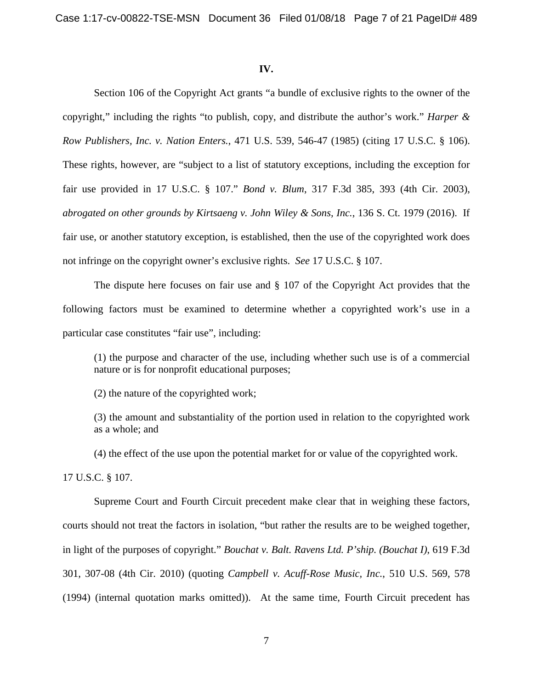#### **IV.**

Section 106 of the Copyright Act grants "a bundle of exclusive rights to the owner of the copyright," including the rights "to publish, copy, and distribute the author's work." *Harper & Row Publishers, Inc. v. Nation Enters.*, 471 U.S. 539, 546-47 (1985) (citing 17 U.S.C. § 106). These rights, however, are "subject to a list of statutory exceptions, including the exception for fair use provided in 17 U.S.C. § 107." *Bond v. Blum*, 317 F.3d 385, 393 (4th Cir. 2003), *abrogated on other grounds by Kirtsaeng v. John Wiley & Sons, Inc.*, 136 S. Ct. 1979 (2016). If fair use, or another statutory exception, is established, then the use of the copyrighted work does not infringe on the copyright owner's exclusive rights. *See* 17 U.S.C. § 107.

The dispute here focuses on fair use and § 107 of the Copyright Act provides that the following factors must be examined to determine whether a copyrighted work's use in a particular case constitutes "fair use", including:

(1) the purpose and character of the use, including whether such use is of a commercial nature or is for nonprofit educational purposes;

(2) the nature of the copyrighted work;

(3) the amount and substantiality of the portion used in relation to the copyrighted work as a whole; and

(4) the effect of the use upon the potential market for or value of the copyrighted work.

17 U.S.C. § 107.

Supreme Court and Fourth Circuit precedent make clear that in weighing these factors, courts should not treat the factors in isolation, "but rather the results are to be weighed together, in light of the purposes of copyright." *Bouchat v. Balt. Ravens Ltd. P'ship. (Bouchat I)*, 619 F.3d 301, 307-08 (4th Cir. 2010) (quoting *Campbell v. Acuff-Rose Music, Inc.*, 510 U.S. 569, 578 (1994) (internal quotation marks omitted)). At the same time, Fourth Circuit precedent has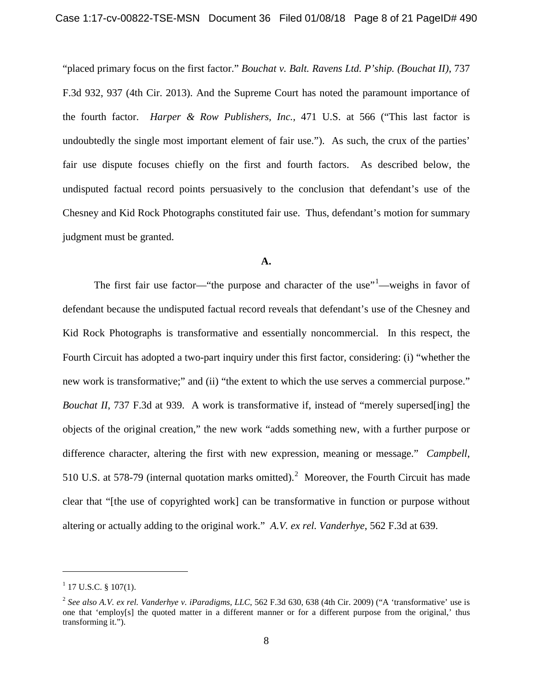"placed primary focus on the first factor." *Bouchat v. Balt. Ravens Ltd. P'ship. (Bouchat II)*, 737 F.3d 932, 937 (4th Cir. 2013). And the Supreme Court has noted the paramount importance of the fourth factor. *Harper & Row Publishers, Inc.*, 471 U.S. at 566 ("This last factor is undoubtedly the single most important element of fair use."). As such, the crux of the parties' fair use dispute focuses chiefly on the first and fourth factors. As described below, the undisputed factual record points persuasively to the conclusion that defendant's use of the Chesney and Kid Rock Photographs constituted fair use. Thus, defendant's motion for summary judgment must be granted.

## **A.**

The first fair use factor—"the purpose and character of the use"<sup>[1](#page-7-0)</sup>—weighs in favor of defendant because the undisputed factual record reveals that defendant's use of the Chesney and Kid Rock Photographs is transformative and essentially noncommercial. In this respect, the Fourth Circuit has adopted a two-part inquiry under this first factor, considering: (i) "whether the new work is transformative;" and (ii) "the extent to which the use serves a commercial purpose." *Bouchat II*, 737 F.3d at 939. A work is transformative if, instead of "merely supersed [ing] the objects of the original creation," the new work "adds something new, with a further purpose or difference character, altering the first with new expression, meaning or message." *Campbell*, 510 U.S. at 578-79 (internal quotation marks omitted).<sup>[2](#page-7-1)</sup> Moreover, the Fourth Circuit has made clear that "[the use of copyrighted work] can be transformative in function or purpose without altering or actually adding to the original work." *A.V. ex rel. Vanderhye*, 562 F.3d at 639.

<span id="page-7-0"></span> $1$  17 U.S.C. § 107(1).

<span id="page-7-1"></span><sup>2</sup> *See also A.V. ex rel. Vanderhye v. iParadigms, LLC*, 562 F.3d 630, 638 (4th Cir. 2009) ("A 'transformative' use is one that 'employ[s] the quoted matter in a different manner or for a different purpose from the original,' thus transforming it.").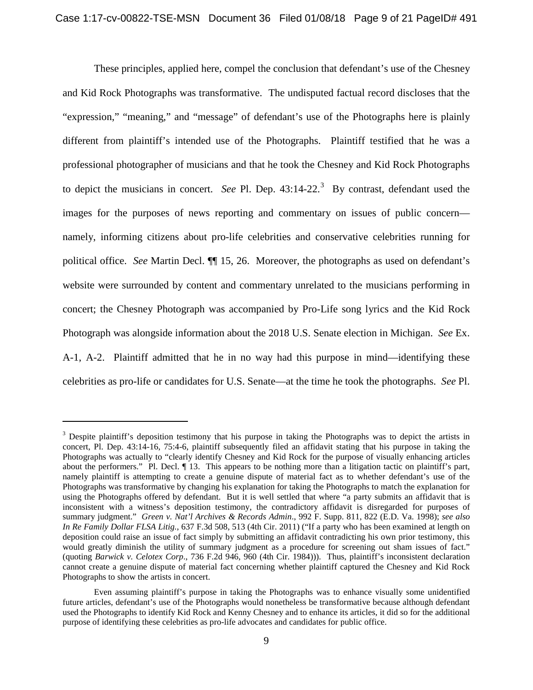These principles, applied here, compel the conclusion that defendant's use of the Chesney and Kid Rock Photographs was transformative. The undisputed factual record discloses that the "expression," "meaning," and "message" of defendant's use of the Photographs here is plainly different from plaintiff's intended use of the Photographs. Plaintiff testified that he was a professional photographer of musicians and that he took the Chesney and Kid Rock Photographs to depict the musicians in concert. *See* Pl. Dep.  $43:14-22$  $43:14-22$  $43:14-22$ <sup>3</sup> By contrast, defendant used the images for the purposes of news reporting and commentary on issues of public concern namely, informing citizens about pro-life celebrities and conservative celebrities running for political office. *See* Martin Decl. ¶¶ 15, 26. Moreover, the photographs as used on defendant's website were surrounded by content and commentary unrelated to the musicians performing in concert; the Chesney Photograph was accompanied by Pro-Life song lyrics and the Kid Rock Photograph was alongside information about the 2018 U.S. Senate election in Michigan. *See* Ex. A-1, A-2. Plaintiff admitted that he in no way had this purpose in mind—identifying these celebrities as pro-life or candidates for U.S. Senate—at the time he took the photographs. *See* Pl.

<span id="page-8-0"></span><sup>&</sup>lt;sup>3</sup> Despite plaintiff's deposition testimony that his purpose in taking the Photographs was to depict the artists in concert, Pl. Dep. 43:14-16, 75:4-6, plaintiff subsequently filed an affidavit stating that his purpose in taking the Photographs was actually to "clearly identify Chesney and Kid Rock for the purpose of visually enhancing articles about the performers." Pl. Decl. ¶ 13. This appears to be nothing more than a litigation tactic on plaintiff's part, namely plaintiff is attempting to create a genuine dispute of material fact as to whether defendant's use of the Photographs was transformative by changing his explanation for taking the Photographs to match the explanation for using the Photographs offered by defendant. But it is well settled that where "a party submits an affidavit that is inconsistent with a witness's deposition testimony, the contradictory affidavit is disregarded for purposes of summary judgment." *Green v. Nat'l Archives & Records Admin*., 992 F. Supp. 811, 822 (E.D. Va. 1998); *see also In Re Family Dollar FLSA Litig.*, 637 F.3d 508, 513 (4th Cir. 2011) ("If a party who has been examined at length on deposition could raise an issue of fact simply by submitting an affidavit contradicting his own prior testimony, this would greatly diminish the utility of summary judgment as a procedure for screening out sham issues of fact." (quoting *Barwick v. Celotex Corp*., 736 F.2d 946, 960 (4th Cir. 1984))). Thus, plaintiff's inconsistent declaration cannot create a genuine dispute of material fact concerning whether plaintiff captured the Chesney and Kid Rock Photographs to show the artists in concert.

Even assuming plaintiff's purpose in taking the Photographs was to enhance visually some unidentified future articles, defendant's use of the Photographs would nonetheless be transformative because although defendant used the Photographs to identify Kid Rock and Kenny Chesney and to enhance its articles, it did so for the additional purpose of identifying these celebrities as pro-life advocates and candidates for public office.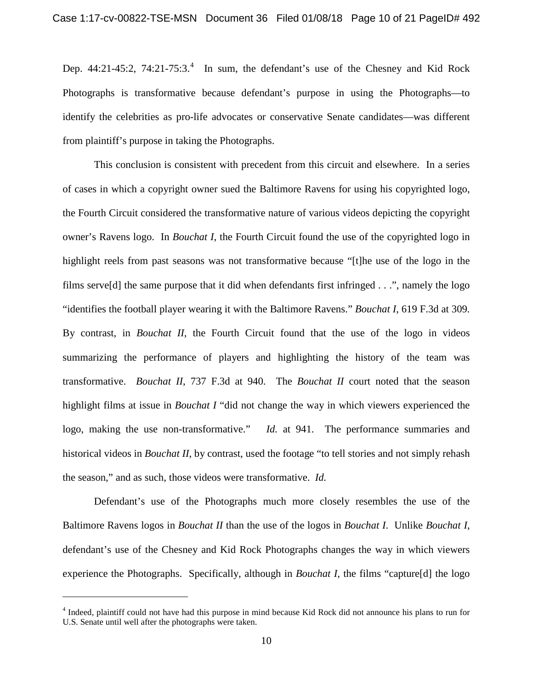Dep. [4](#page-9-0)4:21-45:2, 74:21-75:3.<sup>4</sup> In sum, the defendant's use of the Chesney and Kid Rock Photographs is transformative because defendant's purpose in using the Photographs—to identify the celebrities as pro-life advocates or conservative Senate candidates—was different from plaintiff's purpose in taking the Photographs.

This conclusion is consistent with precedent from this circuit and elsewhere. In a series of cases in which a copyright owner sued the Baltimore Ravens for using his copyrighted logo, the Fourth Circuit considered the transformative nature of various videos depicting the copyright owner's Ravens logo. In *Bouchat I*, the Fourth Circuit found the use of the copyrighted logo in highlight reels from past seasons was not transformative because "[t]he use of the logo in the films serve[d] the same purpose that it did when defendants first infringed  $\dots$ ", namely the logo "identifies the football player wearing it with the Baltimore Ravens." *Bouchat I*, 619 F.3d at 309*.*  By contrast, in *Bouchat II*, the Fourth Circuit found that the use of the logo in videos summarizing the performance of players and highlighting the history of the team was transformative. *Bouchat II*, 737 F.3d at 940. The *Bouchat II* court noted that the season highlight films at issue in *Bouchat I* "did not change the way in which viewers experienced the logo, making the use non-transformative." *Id.* at 941. The performance summaries and historical videos in *Bouchat II*, by contrast, used the footage "to tell stories and not simply rehash the season," and as such, those videos were transformative. *Id.* 

Defendant's use of the Photographs much more closely resembles the use of the Baltimore Ravens logos in *Bouchat II* than the use of the logos in *Bouchat I*. Unlike *Bouchat I*, defendant's use of the Chesney and Kid Rock Photographs changes the way in which viewers experience the Photographs. Specifically, although in *Bouchat I*, the films "capture[d] the logo

<span id="page-9-0"></span><sup>4</sup> Indeed, plaintiff could not have had this purpose in mind because Kid Rock did not announce his plans to run for U.S. Senate until well after the photographs were taken.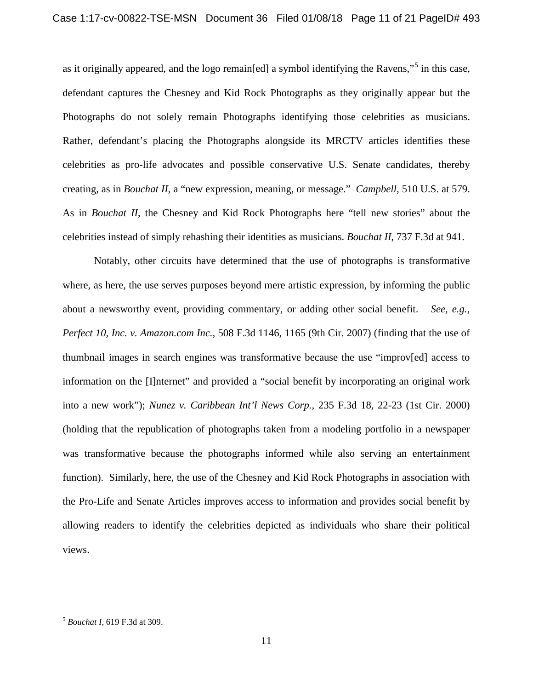as it originally appeared, and the logo remain[ed] a symbol identifying the Ravens,"<sup>[5](#page-10-0)</sup> in this case, defendant captures the Chesney and Kid Rock Photographs as they originally appear but the Photographs do not solely remain Photographs identifying those celebrities as musicians. Rather, defendant's placing the Photographs alongside its MRCTV articles identifies these celebrities as pro-life advocates and possible conservative U.S. Senate candidates, thereby creating, as in *Bouchat II*, a "new expression, meaning, or message." *Campbell*, 510 U.S. at 579. As in *Bouchat II*, the Chesney and Kid Rock Photographs here "tell new stories" about the celebrities instead of simply rehashing their identities as musicians. *Bouchat II*, 737 F.3d at 941.

Notably, other circuits have determined that the use of photographs is transformative where, as here, the use serves purposes beyond mere artistic expression, by informing the public about a newsworthy event, providing commentary, or adding other social benefit. *See, e.g.*, *Perfect 10, Inc. v. Amazon.com Inc.*, 508 F.3d 1146, 1165 (9th Cir. 2007) (finding that the use of thumbnail images in search engines was transformative because the use "improv[ed] access to information on the [I]nternet" and provided a "social benefit by incorporating an original work into a new work"); *Nunez v. Caribbean Int'l News Corp.*, 235 F.3d 18, 22-23 (1st Cir. 2000) (holding that the republication of photographs taken from a modeling portfolio in a newspaper was transformative because the photographs informed while also serving an entertainment function). Similarly, here, the use of the Chesney and Kid Rock Photographs in association with the Pro-Life and Senate Articles improves access to information and provides social benefit by allowing readers to identify the celebrities depicted as individuals who share their political views.

<span id="page-10-0"></span><sup>5</sup> *Bouchat I*, 619 F.3d at 309.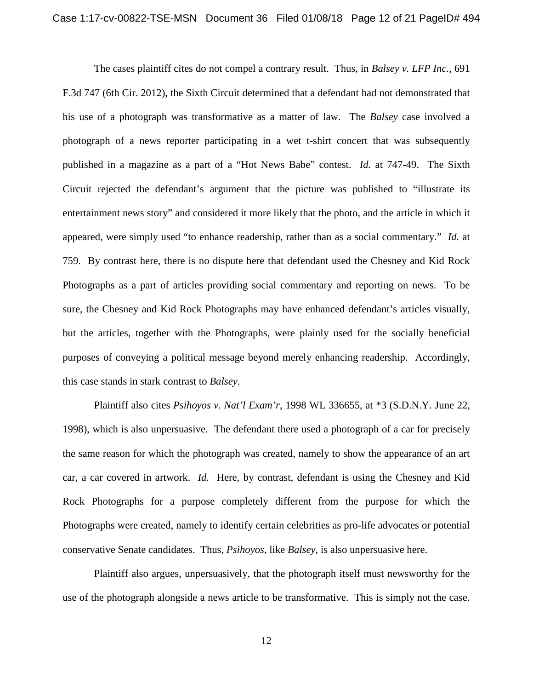The cases plaintiff cites do not compel a contrary result. Thus, in *Balsey v. LFP Inc.*, 691 F.3d 747 (6th Cir. 2012), the Sixth Circuit determined that a defendant had not demonstrated that his use of a photograph was transformative as a matter of law. The *Balsey* case involved a photograph of a news reporter participating in a wet t-shirt concert that was subsequently published in a magazine as a part of a "Hot News Babe" contest. *Id.* at 747-49. The Sixth Circuit rejected the defendant's argument that the picture was published to "illustrate its entertainment news story" and considered it more likely that the photo, and the article in which it appeared, were simply used "to enhance readership, rather than as a social commentary." *Id.* at 759. By contrast here, there is no dispute here that defendant used the Chesney and Kid Rock Photographs as a part of articles providing social commentary and reporting on news. To be sure, the Chesney and Kid Rock Photographs may have enhanced defendant's articles visually, but the articles, together with the Photographs, were plainly used for the socially beneficial purposes of conveying a political message beyond merely enhancing readership. Accordingly, this case stands in stark contrast to *Balsey*.

Plaintiff also cites *Psihoyos v. Nat'l Exam'r*, 1998 WL 336655, at \*3 (S.D.N.Y. June 22, 1998), which is also unpersuasive. The defendant there used a photograph of a car for precisely the same reason for which the photograph was created, namely to show the appearance of an art car, a car covered in artwork. *Id.* Here, by contrast, defendant is using the Chesney and Kid Rock Photographs for a purpose completely different from the purpose for which the Photographs were created, namely to identify certain celebrities as pro-life advocates or potential conservative Senate candidates. Thus, *Psihoyos*, like *Balsey*, is also unpersuasive here.

Plaintiff also argues, unpersuasively, that the photograph itself must newsworthy for the use of the photograph alongside a news article to be transformative. This is simply not the case.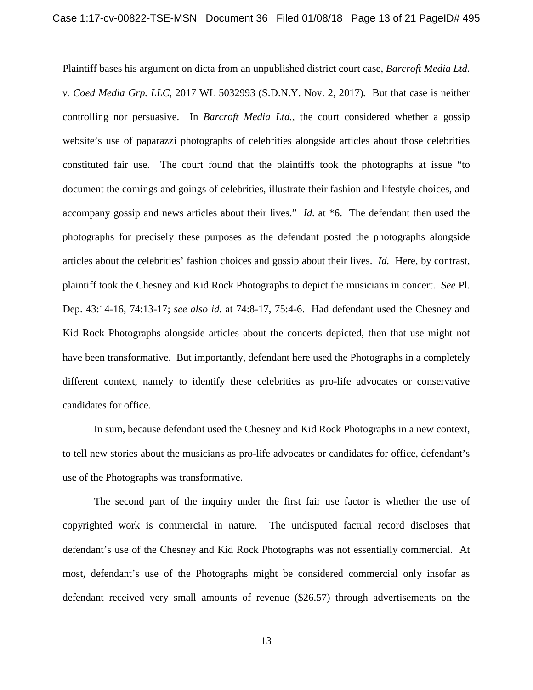Plaintiff bases his argument on dicta from an unpublished district court case, *Barcroft Media Ltd. v. Coed Media Grp. LLC*, 2017 WL 5032993 (S.D.N.Y. Nov. 2, 2017)*.* But that case is neither controlling nor persuasive. In *Barcroft Media Ltd.*, the court considered whether a gossip website's use of paparazzi photographs of celebrities alongside articles about those celebrities constituted fair use. The court found that the plaintiffs took the photographs at issue "to document the comings and goings of celebrities, illustrate their fashion and lifestyle choices, and accompany gossip and news articles about their lives." *Id.* at \*6. The defendant then used the photographs for precisely these purposes as the defendant posted the photographs alongside articles about the celebrities' fashion choices and gossip about their lives. *Id.* Here, by contrast, plaintiff took the Chesney and Kid Rock Photographs to depict the musicians in concert. *See* Pl. Dep. 43:14-16, 74:13-17; *see also id.* at 74:8-17, 75:4-6. Had defendant used the Chesney and Kid Rock Photographs alongside articles about the concerts depicted, then that use might not have been transformative. But importantly, defendant here used the Photographs in a completely different context, namely to identify these celebrities as pro-life advocates or conservative candidates for office.

In sum, because defendant used the Chesney and Kid Rock Photographs in a new context, to tell new stories about the musicians as pro-life advocates or candidates for office, defendant's use of the Photographs was transformative.

The second part of the inquiry under the first fair use factor is whether the use of copyrighted work is commercial in nature. The undisputed factual record discloses that defendant's use of the Chesney and Kid Rock Photographs was not essentially commercial. At most, defendant's use of the Photographs might be considered commercial only insofar as defendant received very small amounts of revenue (\$26.57) through advertisements on the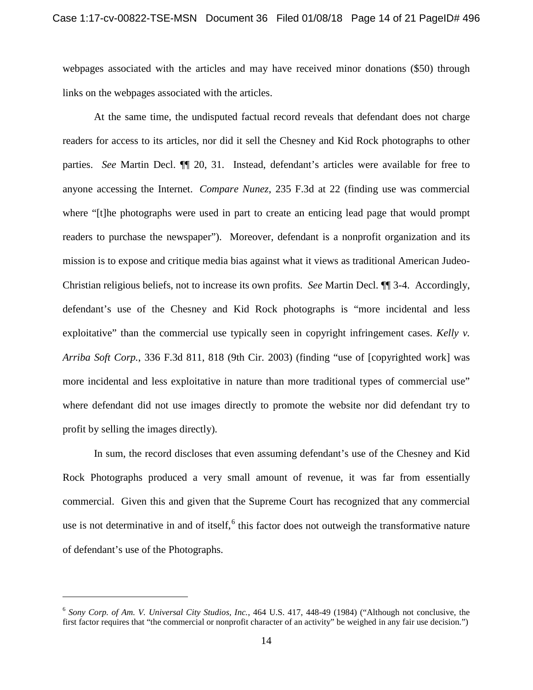webpages associated with the articles and may have received minor donations (\$50) through links on the webpages associated with the articles.

At the same time, the undisputed factual record reveals that defendant does not charge readers for access to its articles, nor did it sell the Chesney and Kid Rock photographs to other parties. *See* Martin Decl. ¶¶ 20, 31. Instead, defendant's articles were available for free to anyone accessing the Internet. *Compare Nunez*, 235 F.3d at 22 (finding use was commercial where "[t]he photographs were used in part to create an enticing lead page that would prompt readers to purchase the newspaper"). Moreover, defendant is a nonprofit organization and its mission is to expose and critique media bias against what it views as traditional American Judeo-Christian religious beliefs, not to increase its own profits. *See* Martin Decl. ¶¶ 3-4. Accordingly, defendant's use of the Chesney and Kid Rock photographs is "more incidental and less exploitative" than the commercial use typically seen in copyright infringement cases. *Kelly v. Arriba Soft Corp.*, 336 F.3d 811, 818 (9th Cir. 2003) (finding "use of [copyrighted work] was more incidental and less exploitative in nature than more traditional types of commercial use" where defendant did not use images directly to promote the website nor did defendant try to profit by selling the images directly).

In sum, the record discloses that even assuming defendant's use of the Chesney and Kid Rock Photographs produced a very small amount of revenue, it was far from essentially commercial. Given this and given that the Supreme Court has recognized that any commercial use is not determinative in and of itself,  $6$  this factor does not outweigh the transformative nature of defendant's use of the Photographs.

<span id="page-13-0"></span><sup>6</sup> *Sony Corp. of Am. V. Universal City Studios, Inc.*, 464 U.S. 417, 448-49 (1984) ("Although not conclusive, the first factor requires that "the commercial or nonprofit character of an activity" be weighed in any fair use decision.")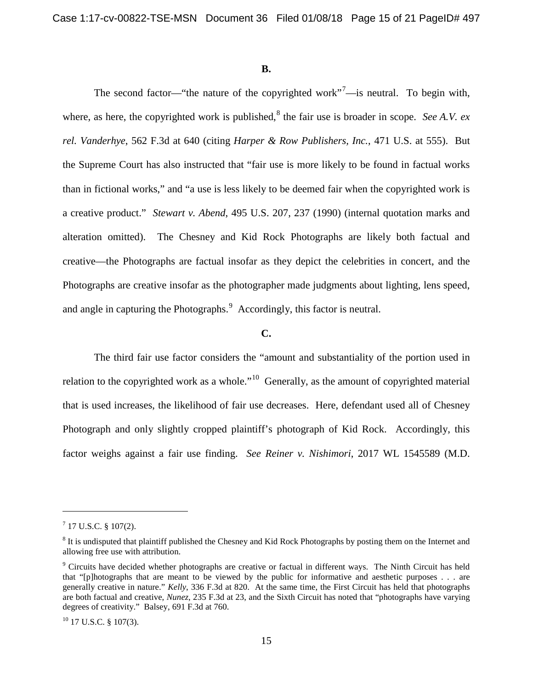## **B.**

The second factor—"the nature of the copyrighted work"<sup>[7](#page-14-0)</sup>—is neutral. To begin with, where, as here, the copyrighted work is published,<sup>[8](#page-14-1)</sup> the fair use is broader in scope. *See A.V. ex rel. Vanderhye*, 562 F.3d at 640 (citing *Harper & Row Publishers, Inc.*, 471 U.S. at 555). But the Supreme Court has also instructed that "fair use is more likely to be found in factual works than in fictional works," and "a use is less likely to be deemed fair when the copyrighted work is a creative product." *Stewart v. Abend*, 495 U.S. 207, 237 (1990) (internal quotation marks and alteration omitted). The Chesney and Kid Rock Photographs are likely both factual and creative—the Photographs are factual insofar as they depict the celebrities in concert, and the Photographs are creative insofar as the photographer made judgments about lighting, lens speed, and angle in capturing the Photographs.<sup>[9](#page-14-2)</sup> Accordingly, this factor is neutral.

## **C.**

The third fair use factor considers the "amount and substantiality of the portion used in relation to the copyrighted work as a whole."[10](#page-14-3) Generally, as the amount of copyrighted material that is used increases, the likelihood of fair use decreases. Here, defendant used all of Chesney Photograph and only slightly cropped plaintiff's photograph of Kid Rock. Accordingly, this factor weighs against a fair use finding. *See Reiner v. Nishimori*, 2017 WL 1545589 (M.D.

<span id="page-14-0"></span> $7$  17 U.S.C. § 107(2).

<span id="page-14-1"></span> $8$  It is undisputed that plaintiff published the Chesney and Kid Rock Photographs by posting them on the Internet and allowing free use with attribution.

<span id="page-14-2"></span><sup>9</sup> Circuits have decided whether photographs are creative or factual in different ways. The Ninth Circuit has held that "[p]hotographs that are meant to be viewed by the public for informative and aesthetic purposes . . . are generally creative in nature." *Kelly*, 336 F.3d at 820. At the same time, the First Circuit has held that photographs are both factual and creative, *Nunez*, 235 F.3d at 23, and the Sixth Circuit has noted that "photographs have varying degrees of creativity." Balsey, 691 F.3d at 760.

<span id="page-14-3"></span><sup>&</sup>lt;sup>10</sup> 17 U.S.C. § 107(3).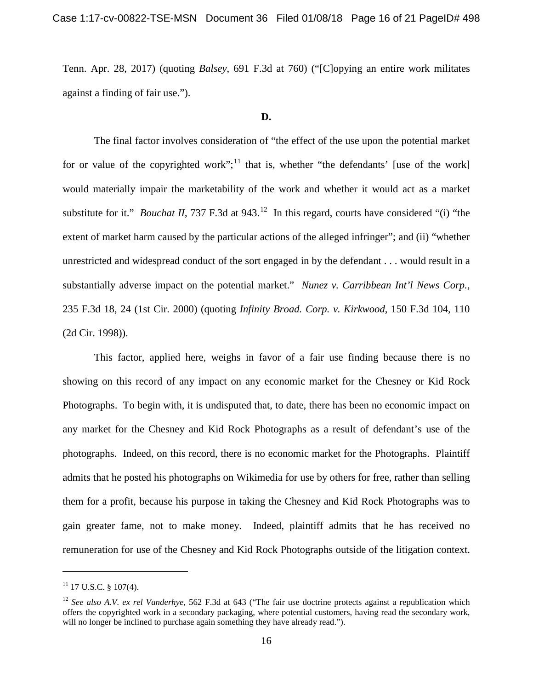Tenn. Apr. 28, 2017) (quoting *Balsey*, 691 F.3d at 760) ("[C]opying an entire work militates against a finding of fair use.").

## **D.**

The final factor involves consideration of "the effect of the use upon the potential market for or value of the copyrighted work";<sup>[11](#page-15-0)</sup> that is, whether "the defendants' [use of the work] would materially impair the marketability of the work and whether it would act as a market substitute for it." *Bouchat II*, 737 F.3d at 943.<sup>[12](#page-15-1)</sup> In this regard, courts have considered "(i) "the extent of market harm caused by the particular actions of the alleged infringer"; and (ii) "whether unrestricted and widespread conduct of the sort engaged in by the defendant . . . would result in a substantially adverse impact on the potential market." *Nunez v. Carribbean Int'l News Corp.*, 235 F.3d 18, 24 (1st Cir. 2000) (quoting *Infinity Broad. Corp. v. Kirkwood*, 150 F.3d 104, 110 (2d Cir. 1998)).

This factor, applied here, weighs in favor of a fair use finding because there is no showing on this record of any impact on any economic market for the Chesney or Kid Rock Photographs. To begin with, it is undisputed that, to date, there has been no economic impact on any market for the Chesney and Kid Rock Photographs as a result of defendant's use of the photographs. Indeed, on this record, there is no economic market for the Photographs. Plaintiff admits that he posted his photographs on Wikimedia for use by others for free, rather than selling them for a profit, because his purpose in taking the Chesney and Kid Rock Photographs was to gain greater fame, not to make money. Indeed, plaintiff admits that he has received no remuneration for use of the Chesney and Kid Rock Photographs outside of the litigation context.

<span id="page-15-0"></span> $11$  17 U.S.C. § 107(4).

<span id="page-15-1"></span><sup>&</sup>lt;sup>12</sup> *See also A.V. ex rel Vanderhye*, 562 F.3d at 643 ("The fair use doctrine protects against a republication which offers the copyrighted work in a secondary packaging, where potential customers, having read the secondary work, will no longer be inclined to purchase again something they have already read.").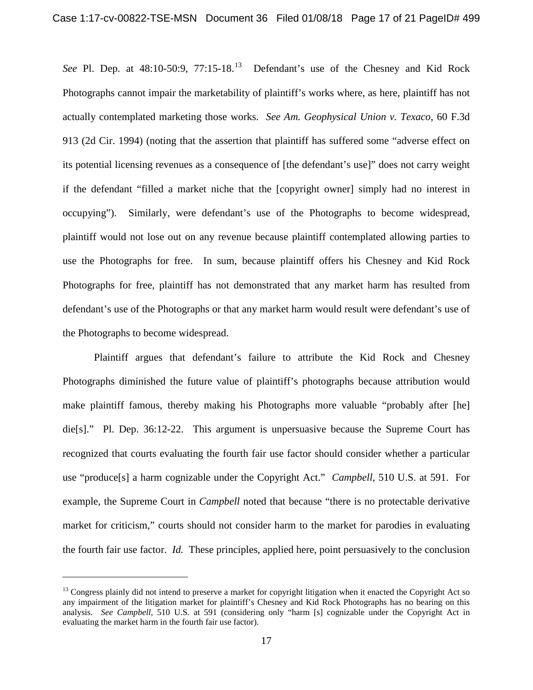*See* Pl. Dep. at 48:10-50:9, 77:15-18.[13](#page-16-0) Defendant's use of the Chesney and Kid Rock Photographs cannot impair the marketability of plaintiff's works where, as here, plaintiff has not actually contemplated marketing those works. *See Am. Geophysical Union v. Texaco*, 60 F.3d 913 (2d Cir. 1994) (noting that the assertion that plaintiff has suffered some "adverse effect on its potential licensing revenues as a consequence of [the defendant's use]" does not carry weight if the defendant "filled a market niche that the [copyright owner] simply had no interest in occupying"). Similarly, were defendant's use of the Photographs to become widespread, plaintiff would not lose out on any revenue because plaintiff contemplated allowing parties to use the Photographs for free. In sum, because plaintiff offers his Chesney and Kid Rock Photographs for free, plaintiff has not demonstrated that any market harm has resulted from defendant's use of the Photographs or that any market harm would result were defendant's use of the Photographs to become widespread.

Plaintiff argues that defendant's failure to attribute the Kid Rock and Chesney Photographs diminished the future value of plaintiff's photographs because attribution would make plaintiff famous, thereby making his Photographs more valuable "probably after [he] die[s]." Pl. Dep. 36:12-22. This argument is unpersuasive because the Supreme Court has recognized that courts evaluating the fourth fair use factor should consider whether a particular use "produce[s] a harm cognizable under the Copyright Act." *Campbell*, 510 U.S. at 591. For example, the Supreme Court in *Campbell* noted that because "there is no protectable derivative market for criticism," courts should not consider harm to the market for parodies in evaluating the fourth fair use factor. *Id.* These principles, applied here, point persuasively to the conclusion

<span id="page-16-0"></span> $<sup>13</sup>$  Congress plainly did not intend to preserve a market for copyright litigation when it enacted the Copyright Act so</sup> any impairment of the litigation market for plaintiff's Chesney and Kid Rock Photographs has no bearing on this analysis. *See Campbell*, 510 U.S. at 591 (considering only "harm [s] cognizable under the Copyright Act in evaluating the market harm in the fourth fair use factor).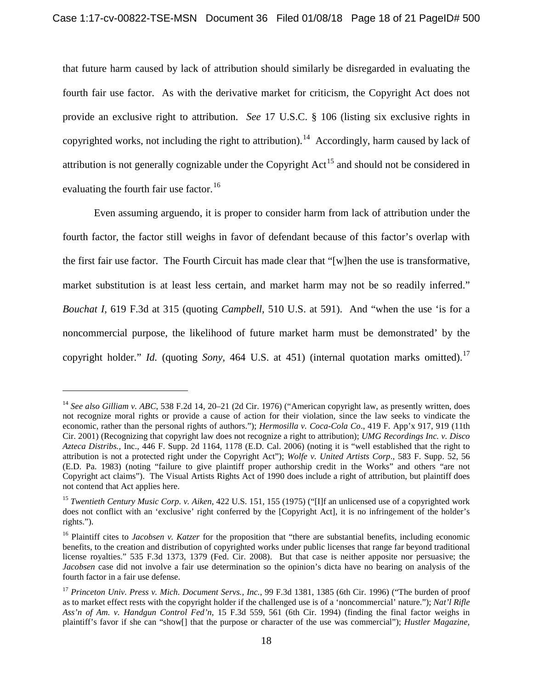that future harm caused by lack of attribution should similarly be disregarded in evaluating the fourth fair use factor. As with the derivative market for criticism, the Copyright Act does not provide an exclusive right to attribution. *See* 17 U.S.C. § 106 (listing six exclusive rights in copyrighted works, not including the right to attribution).<sup>[14](#page-17-0)</sup> Accordingly, harm caused by lack of attribution is not generally cognizable under the Copyright  $Act<sup>15</sup>$  $Act<sup>15</sup>$  $Act<sup>15</sup>$  and should not be considered in evaluating the fourth fair use factor.<sup>[16](#page-17-2)</sup>

Even assuming arguendo, it is proper to consider harm from lack of attribution under the fourth factor, the factor still weighs in favor of defendant because of this factor's overlap with the first fair use factor. The Fourth Circuit has made clear that "[w]hen the use is transformative, market substitution is at least less certain, and market harm may not be so readily inferred." *Bouchat I*, 619 F.3d at 315 (quoting *Campbell*, 510 U.S. at 591). And "when the use 'is for a noncommercial purpose, the likelihood of future market harm must be demonstrated' by the copyright holder." *Id.* (quoting *Sony*, 464 U.S. at 451) (internal quotation marks omitted).<sup>[17](#page-17-3)</sup>

<span id="page-17-0"></span><sup>&</sup>lt;sup>14</sup> See also Gilliam v. ABC, 538 F.2d 14, 20–21 (2d Cir. 1976) ("American copyright law, as presently written, does not recognize moral rights or provide a cause of action for their violation, since the law seeks to vindicate the economic, rather than the personal rights of authors."); *Hermosilla v. Coca-Cola Co*., 419 F. App'x 917, 919 (11th Cir. 2001) (Recognizing that copyright law does not recognize a right to attribution); *UMG Recordings Inc. v. Disco Azteca Distribs.*, Inc., 446 F. Supp. 2d 1164, 1178 (E.D. Cal. 2006) (noting it is "well established that the right to attribution is not a protected right under the Copyright Act"); *Wolfe v. United Artists Corp*., 583 F. Supp. 52, 56 (E.D. Pa. 1983) (noting "failure to give plaintiff proper authorship credit in the Works" and others "are not Copyright act claims"). The Visual Artists Rights Act of 1990 does include a right of attribution, but plaintiff does not contend that Act applies here.

<span id="page-17-1"></span><sup>15</sup> *Twentieth Century Music Corp. v. Aiken*, 422 U.S. 151, 155 (1975) ("[I]f an unlicensed use of a copyrighted work does not conflict with an 'exclusive' right conferred by the [Copyright Act], it is no infringement of the holder's rights.").

<span id="page-17-2"></span><sup>&</sup>lt;sup>16</sup> Plaintiff cites to *Jacobsen v. Katzer* for the proposition that "there are substantial benefits, including economic benefits, to the creation and distribution of copyrighted works under public licenses that range far beyond traditional license royalties." 535 F.3d 1373, 1379 (Fed. Cir. 2008). But that case is neither apposite nor persuasive; the *Jacobsen* case did not involve a fair use determination so the opinion's dicta have no bearing on analysis of the fourth factor in a fair use defense.

<span id="page-17-3"></span><sup>17</sup> *Princeton Univ. Press v. Mich. Document Servs., Inc.*, 99 F.3d 1381, 1385 (6th Cir. 1996) ("The burden of proof as to market effect rests with the copyright holder if the challenged use is of a 'noncommercial' nature."); *Nat'l Rifle Ass'n of Am. v. Handgun Control Fed'n*, 15 F.3d 559, 561 (6th Cir. 1994) (finding the final factor weighs in plaintiff's favor if she can "show[] that the purpose or character of the use was commercial"); *Hustler Magazine,*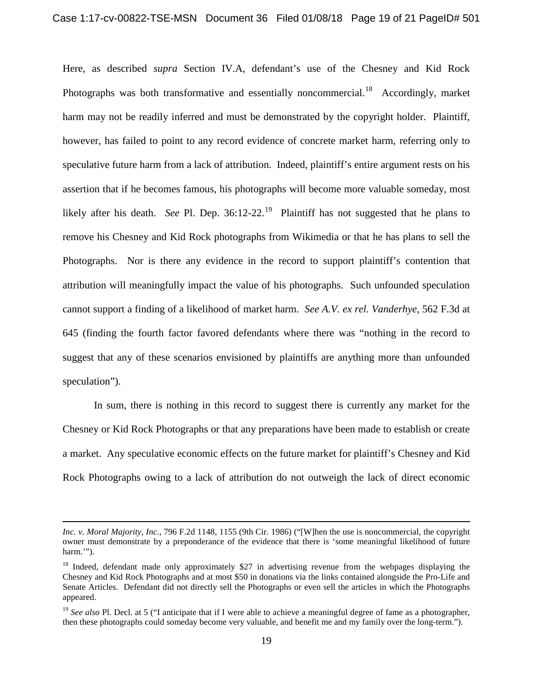Here, as described *supra* Section IV.A, defendant's use of the Chesney and Kid Rock Photographs was both transformative and essentially noncommercial.<sup>[18](#page-18-0)</sup> Accordingly, market harm may not be readily inferred and must be demonstrated by the copyright holder. Plaintiff, however, has failed to point to any record evidence of concrete market harm, referring only to speculative future harm from a lack of attribution. Indeed, plaintiff's entire argument rests on his assertion that if he becomes famous, his photographs will become more valuable someday, most likely after his death. *See* Pl. Dep. 36:12-22.<sup>19</sup> Plaintiff has not suggested that he plans to remove his Chesney and Kid Rock photographs from Wikimedia or that he has plans to sell the Photographs. Nor is there any evidence in the record to support plaintiff's contention that attribution will meaningfully impact the value of his photographs. Such unfounded speculation cannot support a finding of a likelihood of market harm. *See A.V. ex rel. Vanderhye*, 562 F.3d at 645 (finding the fourth factor favored defendants where there was "nothing in the record to suggest that any of these scenarios envisioned by plaintiffs are anything more than unfounded speculation").

In sum, there is nothing in this record to suggest there is currently any market for the Chesney or Kid Rock Photographs or that any preparations have been made to establish or create a market. Any speculative economic effects on the future market for plaintiff's Chesney and Kid Rock Photographs owing to a lack of attribution do not outweigh the lack of direct economic

*Inc. v. Moral Majority, Inc.*, 796 F.2d 1148, 1155 (9th Cir. 1986) ("[W]hen the use is noncommercial, the copyright owner must demonstrate by a preponderance of the evidence that there is 'some meaningful likelihood of future harm.").

<span id="page-18-0"></span><sup>&</sup>lt;sup>18</sup> Indeed, defendant made only approximately \$27 in advertising revenue from the webpages displaying the Chesney and Kid Rock Photographs and at most \$50 in donations via the links contained alongside the Pro-Life and Senate Articles. Defendant did not directly sell the Photographs or even sell the articles in which the Photographs appeared.

<span id="page-18-1"></span><sup>&</sup>lt;sup>19</sup> *See also* Pl. Decl. at 5 ("I anticipate that if I were able to achieve a meaningful degree of fame as a photographer, then these photographs could someday become very valuable, and benefit me and my family over the long-term.").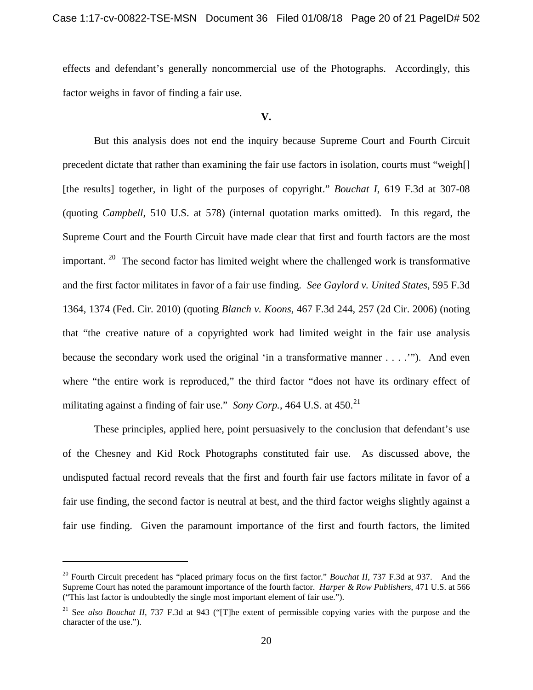effects and defendant's generally noncommercial use of the Photographs. Accordingly, this factor weighs in favor of finding a fair use.

#### **V.**

But this analysis does not end the inquiry because Supreme Court and Fourth Circuit precedent dictate that rather than examining the fair use factors in isolation, courts must "weigh[] [the results] together, in light of the purposes of copyright." *Bouchat I*, 619 F.3d at 307-08 (quoting *Campbell*, 510 U.S. at 578) (internal quotation marks omitted). In this regard, the Supreme Court and the Fourth Circuit have made clear that first and fourth factors are the most important.  $20$  The second factor has limited weight where the challenged work is transformative and the first factor militates in favor of a fair use finding. *See Gaylord v. United States*, 595 F.3d 1364, 1374 (Fed. Cir. 2010) (quoting *Blanch v. Koons*, 467 F.3d 244, 257 (2d Cir. 2006) (noting that "the creative nature of a copyrighted work had limited weight in the fair use analysis because the secondary work used the original 'in a transformative manner . . . .'"). And even where "the entire work is reproduced," the third factor "does not have its ordinary effect of militating against a finding of fair use." *Sony Corp.*, 464 U.S. at 450.<sup>[21](#page-19-1)</sup>

These principles, applied here, point persuasively to the conclusion that defendant's use of the Chesney and Kid Rock Photographs constituted fair use. As discussed above, the undisputed factual record reveals that the first and fourth fair use factors militate in favor of a fair use finding, the second factor is neutral at best, and the third factor weighs slightly against a fair use finding. Given the paramount importance of the first and fourth factors, the limited

<span id="page-19-0"></span><sup>&</sup>lt;sup>20</sup> Fourth Circuit precedent has "placed primary focus on the first factor." *Bouchat II*, 737 F.3d at 937. And the Supreme Court has noted the paramount importance of the fourth factor. *Harper & Row Publishers*, 471 U.S. at 566 ("This last factor is undoubtedly the single most important element of fair use.").

<span id="page-19-1"></span><sup>21</sup> S*ee also Bouchat II*, 737 F.3d at 943 ("[T]he extent of permissible copying varies with the purpose and the character of the use.").